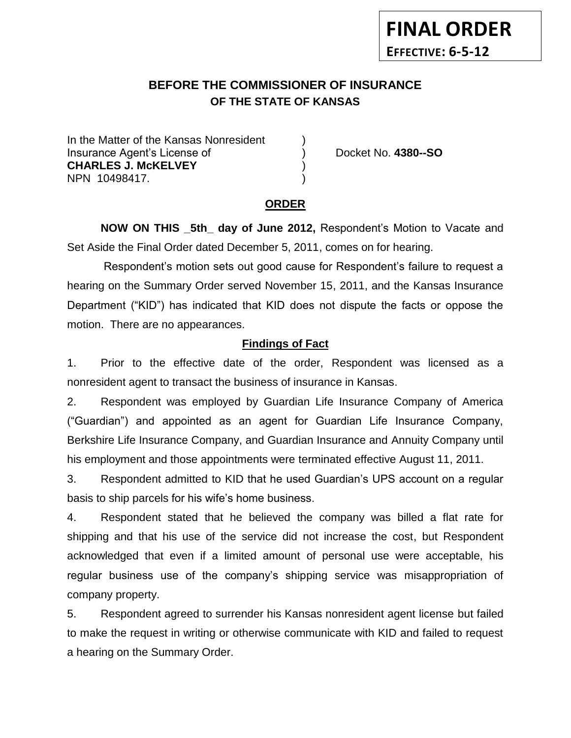# **BEFORE THE COMMISSIONER OF INSURANCE OF THE STATE OF KANSAS**

In the Matter of the Kansas Nonresident Insurance Agent's License of ) Docket No. **4380--SO CHARLES J. McKELVEY** ) NPN 10498417. )

**FINAL ORDER**

**EFFECTIVE: 6-5-12**

# **ORDER**

**NOW ON THIS \_5th\_ day of June 2012,** Respondent's Motion to Vacate and Set Aside the Final Order dated December 5, 2011, comes on for hearing.

Respondent's motion sets out good cause for Respondent's failure to request a hearing on the Summary Order served November 15, 2011, and the Kansas Insurance Department ("KID") has indicated that KID does not dispute the facts or oppose the motion. There are no appearances.

# **Findings of Fact**

1. Prior to the effective date of the order, Respondent was licensed as a nonresident agent to transact the business of insurance in Kansas.

2. Respondent was employed by Guardian Life Insurance Company of America ("Guardian") and appointed as an agent for Guardian Life Insurance Company, Berkshire Life Insurance Company, and Guardian Insurance and Annuity Company until his employment and those appointments were terminated effective August 11, 2011.

3. Respondent admitted to KID that he used Guardian's UPS account on a regular basis to ship parcels for his wife's home business.

4. Respondent stated that he believed the company was billed a flat rate for shipping and that his use of the service did not increase the cost, but Respondent acknowledged that even if a limited amount of personal use were acceptable, his regular business use of the company's shipping service was misappropriation of company property.

5. Respondent agreed to surrender his Kansas nonresident agent license but failed to make the request in writing or otherwise communicate with KID and failed to request a hearing on the Summary Order.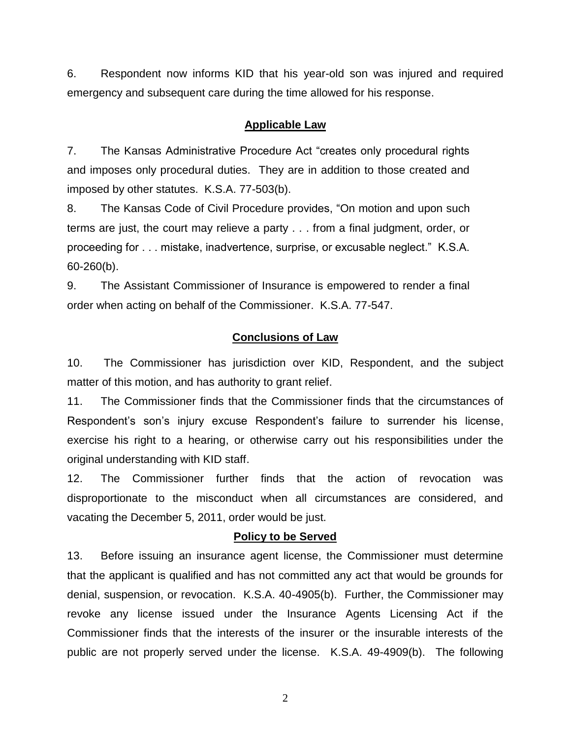6. Respondent now informs KID that his year-old son was injured and required emergency and subsequent care during the time allowed for his response.

## **Applicable Law**

7. The Kansas Administrative Procedure Act "creates only procedural rights and imposes only procedural duties. They are in addition to those created and imposed by other statutes. K.S.A. 77-503(b).

8. The Kansas Code of Civil Procedure provides, "On motion and upon such terms are just, the court may relieve a party . . . from a final judgment, order, or proceeding for . . . mistake, inadvertence, surprise, or excusable neglect." K.S.A. 60-260(b).

9. The Assistant Commissioner of Insurance is empowered to render a final order when acting on behalf of the Commissioner. K.S.A. 77-547.

### **Conclusions of Law**

10. The Commissioner has jurisdiction over KID, Respondent, and the subject matter of this motion, and has authority to grant relief.

11. The Commissioner finds that the Commissioner finds that the circumstances of Respondent's son's injury excuse Respondent's failure to surrender his license, exercise his right to a hearing, or otherwise carry out his responsibilities under the original understanding with KID staff.

12. The Commissioner further finds that the action of revocation was disproportionate to the misconduct when all circumstances are considered, and vacating the December 5, 2011, order would be just.

#### **Policy to be Served**

13. Before issuing an insurance agent license, the Commissioner must determine that the applicant is qualified and has not committed any act that would be grounds for denial, suspension, or revocation. K.S.A. 40-4905(b). Further, the Commissioner may revoke any license issued under the Insurance Agents Licensing Act if the Commissioner finds that the interests of the insurer or the insurable interests of the public are not properly served under the license. K.S.A. 49-4909(b). The following

2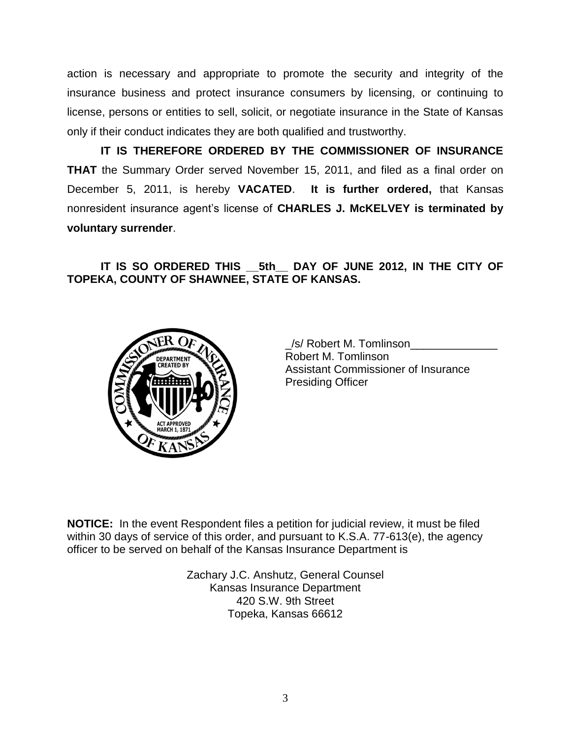action is necessary and appropriate to promote the security and integrity of the insurance business and protect insurance consumers by licensing, or continuing to license, persons or entities to sell, solicit, or negotiate insurance in the State of Kansas only if their conduct indicates they are both qualified and trustworthy.

**IT IS THEREFORE ORDERED BY THE COMMISSIONER OF INSURANCE THAT** the Summary Order served November 15, 2011, and filed as a final order on December 5, 2011, is hereby **VACATED**. **It is further ordered,** that Kansas nonresident insurance agent's license of **CHARLES J. McKELVEY is terminated by voluntary surrender**.

**IT IS SO ORDERED THIS \_\_5th\_\_ DAY OF JUNE 2012, IN THE CITY OF TOPEKA, COUNTY OF SHAWNEE, STATE OF KANSAS.**



/s/ Robert M. Tomlinson Robert M. Tomlinson Assistant Commissioner of Insurance Presiding Officer

**NOTICE:** In the event Respondent files a petition for judicial review, it must be filed within 30 days of service of this order, and pursuant to K.S.A. 77-613(e), the agency officer to be served on behalf of the Kansas Insurance Department is

> Zachary J.C. Anshutz, General Counsel Kansas Insurance Department 420 S.W. 9th Street Topeka, Kansas 66612